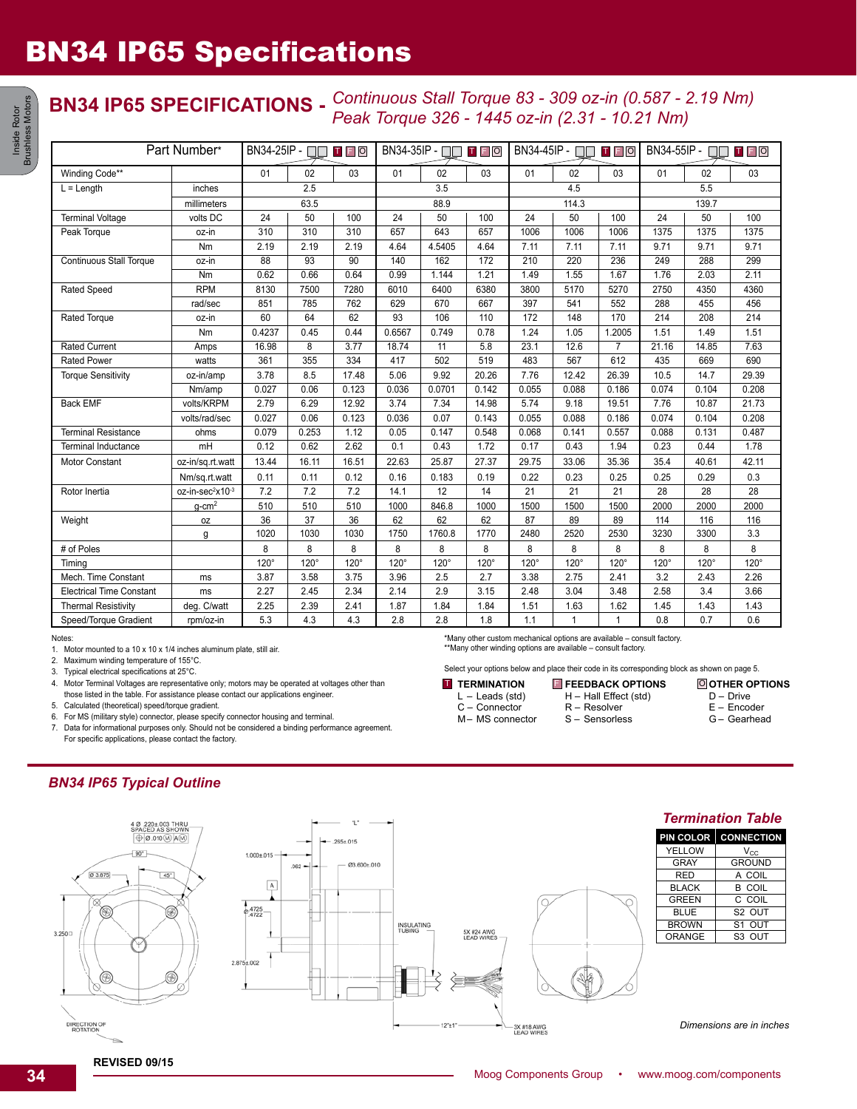## **BN34 IP65 SPECIFICATIONS -** *Continuous Stall Torque 83 - 309 oz-in (0.587 - 2.19 Nm) Peak Torque 326 - 1445 oz-in (2.31 - 10.21 Nm)*

| Part Number*                          |                              | $BN34-25IP - T$<br>$T$ $F$ $O$ |                 |                 | BN34-35IP - □□ Ⅱ 日 回 |             |             | $BN34-45IP -$ |              |                | BN34-55IP -<br><b>TFO</b> |             |             |
|---------------------------------------|------------------------------|--------------------------------|-----------------|-----------------|----------------------|-------------|-------------|---------------|--------------|----------------|---------------------------|-------------|-------------|
| Winding Code**                        |                              | 01                             | 02              | 03              | 01                   | 02          | 03          | 01            | 02           | 03             | 01                        | 02          | 03          |
| $L =$ Length<br>inches<br>millimeters |                              | 2.5                            |                 |                 | 3.5                  |             |             | 4.5           |              |                | 5.5                       |             |             |
|                                       |                              | 63.5                           |                 |                 | 88.9                 |             |             | 114.3         |              |                | 139.7                     |             |             |
| <b>Terminal Voltage</b>               | volts DC                     | 24                             | 50              | 100             | 24                   | 50          | 100         | 24            | 50           | 100            | 24                        | 50          | 100         |
| Peak Torque                           | oz-in                        | 310                            | 310             | 310             | 657                  | 643         | 657         | 1006          | 1006         | 1006           | 1375                      | 1375        | 1375        |
|                                       | Nm                           | 2.19                           | 2.19            | 2.19            | 4.64                 | 4.5405      | 4.64        | 7.11          | 7.11         | 7.11           | 9.71                      | 9.71        | 9.71        |
| <b>Continuous Stall Torque</b>        | oz-in                        | 88                             | $\overline{93}$ | $\overline{90}$ | 140                  | 162         | 172         | 210           | 220          | 236            | 249                       | 288         | 299         |
|                                       | Nm                           | 0.62                           | 0.66            | 0.64            | 0.99                 | 1.144       | 1.21        | 1.49          | 1.55         | 1.67           | 1.76                      | 2.03        | 2.11        |
| Rated Speed                           | <b>RPM</b>                   | 8130                           | 7500            | 7280            | 6010                 | 6400        | 6380        | 3800          | 5170         | 5270           | 2750                      | 4350        | 4360        |
|                                       | rad/sec                      | 851                            | 785             | 762             | 629                  | 670         | 667         | 397           | 541          | 552            | 288                       | 455         | 456         |
| Rated Torque                          | oz-in                        | 60                             | 64              | 62              | 93                   | 106         | 110         | 172           | 148          | 170            | 214                       | 208         | 214         |
|                                       | Nm                           | 0.4237                         | 0.45            | 0.44            | 0.6567               | 0.749       | 0.78        | 1.24          | 1.05         | 1.2005         | 1.51                      | 1.49        | 1.51        |
| <b>Rated Current</b>                  | Amps                         | 16.98                          | 8               | 3.77            | 18.74                | 11          | 5.8         | 23.1          | 12.6         | $\overline{7}$ | 21.16                     | 14.85       | 7.63        |
| <b>Rated Power</b>                    | watts                        | 361                            | 355             | 334             | 417                  | 502         | 519         | 483           | 567          | 612            | 435                       | 669         | 690         |
| <b>Torque Sensitivity</b>             | oz-in/amp                    | 3.78                           | 8.5             | 17.48           | 5.06                 | 9.92        | 20.26       | 7.76          | 12.42        | 26.39          | 10.5                      | 14.7        | 29.39       |
|                                       | Nm/amp                       | 0.027                          | 0.06            | 0.123           | 0.036                | 0.0701      | 0.142       | 0.055         | 0.088        | 0.186          | 0.074                     | 0.104       | 0.208       |
| <b>Back EMF</b>                       | volts/KRPM                   | 2.79                           | 6.29            | 12.92           | 3.74                 | 7.34        | 14.98       | 5.74          | 9.18         | 19.51          | 7.76                      | 10.87       | 21.73       |
|                                       | volts/rad/sec                | 0.027                          | 0.06            | 0.123           | 0.036                | 0.07        | 0.143       | 0.055         | 0.088        | 0.186          | 0.074                     | 0.104       | 0.208       |
| <b>Terminal Resistance</b>            | ohms                         | 0.079                          | 0.253           | 1.12            | 0.05                 | 0.147       | 0.548       | 0.068         | 0.141        | 0.557          | 0.088                     | 0.131       | 0.487       |
| <b>Terminal Inductance</b>            | mH                           | 0.12                           | 0.62            | 2.62            | 0.1                  | 0.43        | 1.72        | 0.17          | 0.43         | 1.94           | 0.23                      | 0.44        | 1.78        |
| <b>Motor Constant</b>                 | oz-in/sq.rt.watt             | 13.44                          | 16.11           | 16.51           | 22.63                | 25.87       | 27.37       | 29.75         | 33.06        | 35.36          | 35.4                      | 40.61       | 42.11       |
|                                       | Nm/sq.rt.watt                | 0.11                           | 0.11            | 0.12            | 0.16                 | 0.183       | 0.19        | 0.22          | 0.23         | 0.25           | 0.25                      | 0.29        | 0.3         |
| Rotor Inertia                         | oz-in-sec <sup>2</sup> x10-3 | 7.2                            | 7.2             | 7.2             | 14.1                 | 12          | 14          | 21            | 21           | 21             | 28                        | 28          | 28          |
|                                       | $q$ -cm <sup>2</sup>         | 510                            | 510             | 510             | 1000                 | 846.8       | 1000        | 1500          | 1500         | 1500           | 2000                      | 2000        | 2000        |
| Weight                                | 0Z                           | 36                             | 37              | 36              | 62                   | 62          | 62          | 87            | 89           | 89             | 114                       | 116         | 116         |
|                                       | g                            | 1020                           | 1030            | 1030            | 1750                 | 1760.8      | 1770        | 2480          | 2520         | 2530           | 3230                      | 3300        | 3.3         |
| # of Poles                            |                              | 8                              | 8               | 8               | 8                    | 8           | 8           | 8             | 8            | 8              | 8                         | 8           | 8           |
| Timina                                |                              | $120^\circ$                    | $120^\circ$     | $120^\circ$     | $120^\circ$          | $120^\circ$ | $120^\circ$ | $120^\circ$   | $120^\circ$  | $120^\circ$    | $120^\circ$               | $120^\circ$ | $120^\circ$ |
| Mech. Time Constant                   | ms                           | 3.87                           | 3.58            | 3.75            | 3.96                 | 2.5         | 2.7         | 3.38          | 2.75         | 2.41           | 3.2                       | 2.43        | 2.26        |
| <b>Electrical Time Constant</b>       | ms                           | 2.27                           | 2.45            | 2.34            | 2.14                 | 2.9         | 3.15        | 2.48          | 3.04         | 3.48           | 2.58                      | 3.4         | 3.66        |
| <b>Thermal Resistivity</b>            | deg. C/watt                  | 2.25                           | 2.39            | 2.41            | 1.87                 | 1.84        | 1.84        | 1.51          | 1.63         | 1.62           | 1.45                      | 1.43        | 1.43        |
| Speed/Torque Gradient                 | rpm/oz-in                    | 5.3                            | 4.3             | 4.3             | 2.8                  | 2.8         | 1.8         | 1.1           | $\mathbf{1}$ | 1              | 0.8                       | 0.7         | 0.6         |

Notes:

Inside Rotor Brushless Motors

Inside Rotor<br>Irushless Motors

1. Motor mounted to a 10 x 10 x 1/4 inches aluminum plate, still air.

2. Maximum winding temperature of 155°C.

3. Typical electrical specifications at 25°C.

4. Motor Terminal Voltages are representative only; motors may be operated at voltages other than

those listed in the table. For assistance please contact our applications engineer.

5. Calculated (theoretical) speed/torque gradient.

6. For MS (military style) connector, please specify connector housing and terminal.

7. Data for informational purposes only. Should not be considered a binding performance agreement. For specific applications, please contact the factory.

*BN34 IP65 Typical Outline*



\*Many other custom mechanical options are available – consult factory. \*\*Many other winding options are available – consult factory.

Select your options below and place their code in its corresponding block as shown on page 5.

M– MS connector

H – Hall Effect (std) R – Resolver S – Sensorless

*Dimensions are in inches*

**REVISED 09/15**

**TERMINATION**  $L -$  Leads (std) C – Connector **T** TERMINATION E FEEDBACK OPTIONS O

**OTHER OPTIONS** D – Drive E – Encoder G – Gearhead